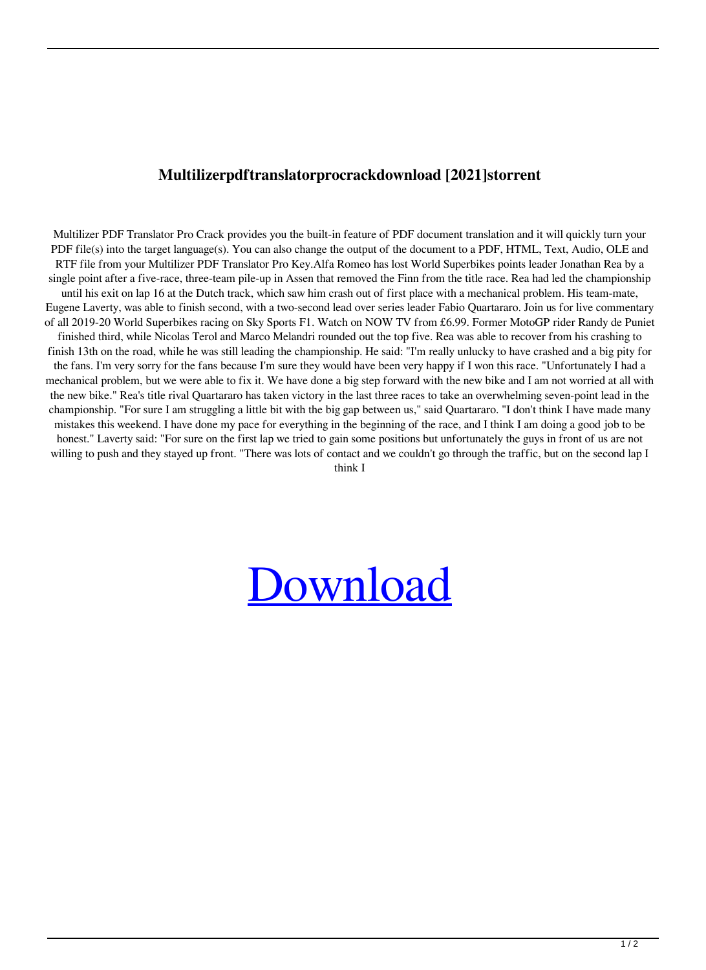## **Multilizerpdftranslatorprocrackdownload [2021]storrent**

Multilizer PDF Translator Pro Crack provides you the built-in feature of PDF document translation and it will quickly turn your PDF file(s) into the target language(s). You can also change the output of the document to a PDF, HTML, Text, Audio, OLE and RTF file from your Multilizer PDF Translator Pro Key.Alfa Romeo has lost World Superbikes points leader Jonathan Rea by a single point after a five-race, three-team pile-up in Assen that removed the Finn from the title race. Rea had led the championship until his exit on lap 16 at the Dutch track, which saw him crash out of first place with a mechanical problem. His team-mate, Eugene Laverty, was able to finish second, with a two-second lead over series leader Fabio Quartararo. Join us for live commentary of all 2019-20 World Superbikes racing on Sky Sports F1. Watch on NOW TV from £6.99. Former MotoGP rider Randy de Puniet finished third, while Nicolas Terol and Marco Melandri rounded out the top five. Rea was able to recover from his crashing to finish 13th on the road, while he was still leading the championship. He said: "I'm really unlucky to have crashed and a big pity for the fans. I'm very sorry for the fans because I'm sure they would have been very happy if I won this race. "Unfortunately I had a mechanical problem, but we were able to fix it. We have done a big step forward with the new bike and I am not worried at all with the new bike." Rea's title rival Quartararo has taken victory in the last three races to take an overwhelming seven-point lead in the championship. "For sure I am struggling a little bit with the big gap between us," said Quartararo. "I don't think I have made many mistakes this weekend. I have done my pace for everything in the beginning of the race, and I think I am doing a good job to be honest." Laverty said: "For sure on the first lap we tried to gain some positions but unfortunately the guys in front of us are not willing to push and they stayed up front. "There was lots of contact and we couldn't go through the traffic, but on the second lap I think I

## [Download](http://evacdir.com/ZG93bmxvYWR8QVEyTVdGblpueDhNVFkxTXpBNE5ERTFOSHg4TWpVM05IeDhLRTBwSUhKbFlXUXRZbXh2WnlCYlJtRnpkQ0JIUlU1ZA/battambang/florante/bXVsdGlsaXplcnBkZnRyYW5zbGF0b3Jwcm9jcmFja2Rvd25sb2Fkc3RvcnJlbnQbXV=oxley&palkra=scotching&vauxcelles=shirred)